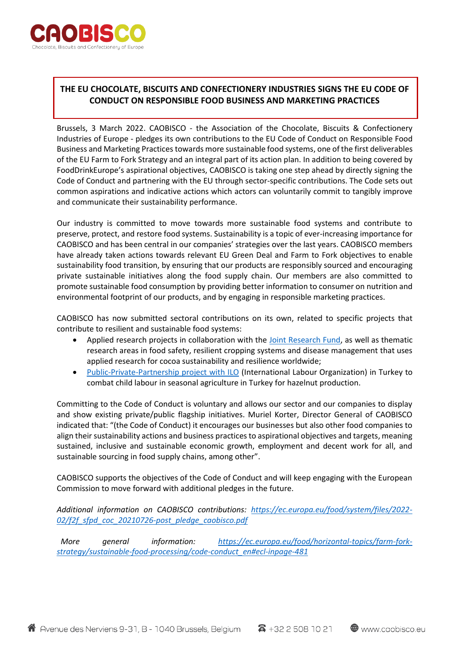

## **THE EU CHOCOLATE, BISCUITS AND CONFECTIONERY INDUSTRIES SIGNS THE EU CODE OF CONDUCT ON RESPONSIBLE FOOD BUSINESS AND MARKETING PRACTICES**

Brussels, 3 March 2022. CAOBISCO - the Association of the Chocolate, Biscuits & Confectionery Industries of Europe - pledges its own contributions to the EU Code of Conduct on Responsible Food Business and Marketing Practices towards more sustainable food systems, one of the first deliverables of the EU Farm to Fork Strategy and an integral part of its action plan. In addition to being covered by FoodDrinkEurope's aspirational objectives, CAOBISCO is taking one step ahead by directly signing the Code of Conduct and partnering with the EU through sector-specific contributions. The Code sets out common aspirations and indicative actions which actors can voluntarily commit to tangibly improve and communicate their sustainability performance.

Our industry is committed to move towards more sustainable food systems and contribute to preserve, protect, and restore food systems. Sustainability is a topic of ever-increasing importance for CAOBISCO and has been central in our companies' strategies over the last years. CAOBISCO members have already taken actions towards relevant EU Green Deal and Farm to Fork objectives to enable sustainability food transition, by ensuring that our products are responsibly sourced and encouraging private sustainable initiatives along the food supply chain. Our members are also committed to promote sustainable food consumption by providing better information to consumer on nutrition and environmental footprint of our products, and by engaging in responsible marketing practices.

CAOBISCO has now submitted sectoral contributions on its own, related to specific projects that contribute to resilient and sustainable food systems:

- Applied research projects in collaboration with the [Joint Research Fund,](https://jointcocoaresearchfund.eu/) as well as thematic research areas in food safety, resilient cropping systems and disease management that uses applied research for cocoa sustainability and resilience worldwide;
- [Public-Private-Partnership](mailto:https://www.ilo.org/ankara/areas-of-work/child-labour/WCMS_790633/lang--en/index.htm) project with ILO (International Labour Organization) in Turkey to combat child labour in seasonal agriculture in Turkey for hazelnut production.

Committing to the Code of Conduct is voluntary and allows our sector and our companies to display and show existing private/public flagship initiatives. Muriel Korter, Director General of CAOBISCO indicated that: "(the Code of Conduct) it encourages our businesses but also other food companies to align their sustainability actions and business practices to aspirational objectives and targets, meaning sustained, inclusive and sustainable economic growth, employment and decent work for all, and sustainable sourcing in food supply chains, among other".

CAOBISCO supports the objectives of the Code of Conduct and will keep engaging with the European Commission to move forward with additional pledges in the future.

*Additional information on CAOBISCO contributions: [https://ec.europa.eu/food/system/files/2022-](https://ec.europa.eu/food/system/files/2022-02/f2f_sfpd_coc_20210726-post_pledge_caobisco.pdf) [02/f2f\\_sfpd\\_coc\\_20210726-post\\_pledge\\_caobisco.pdf](https://ec.europa.eu/food/system/files/2022-02/f2f_sfpd_coc_20210726-post_pledge_caobisco.pdf)*

 *More general information: [https://ec.europa.eu/food/horizontal-topics/farm-fork](https://ec.europa.eu/food/horizontal-topics/farm-fork-strategy/sustainable-food-processing/code-conduct_en#ecl-inpage-481)[strategy/sustainable-food-processing/code-conduct\\_en#ecl-inpage-481](https://ec.europa.eu/food/horizontal-topics/farm-fork-strategy/sustainable-food-processing/code-conduct_en#ecl-inpage-481)*